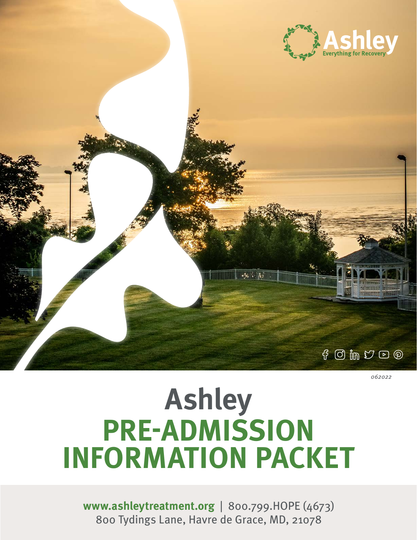



Something about how the Family Wellness Program

 $\alpha$  on  $\alpha$  and  $\alpha$  and  $\alpha$  are  $\alpha$  -  $\alpha$  and  $\alpha$ essit aute porporio. Iquas es et ilitemporum cum sint, seditem hilligenis minum quibus da nos eat et exerches nos

Ma venit providi autecessinis essit aute porporio.

 $\overline{\mathbf{h}^{\mathbf{a}}_{\mathbf{a}}\mathbf{h}^{\mathbf{b}}_{\mathbf{a}}\mathbf{h}^{\mathbf{b}}_{\mathbf{a}}\mathbf{h}^{\mathbf{b}}_{\mathbf{a}}\mathbf{h}^{\mathbf{b}}_{\mathbf{a}}\mathbf{h}^{\mathbf{b}}_{\mathbf{a}}\mathbf{h}^{\mathbf{b}}_{\mathbf{a}}\mathbf{h}^{\mathbf{b}}_{\mathbf{a}}\mathbf{h}^{\mathbf{b}}_{\mathbf{a}}\mathbf{h}^{\mathbf{b}}_{\mathbf{a}}\mathbf{h}^{\mathbf{b}}_{\mathbf$ 

natur, official laboritory and the control of the control of the control of the control of the control of the c

*062022*

# **Ashley PRE-ADMISSION INFORMATION PACKET**

**www.a[shleytreatment.org](https://www.ashleytreatment.org/)** | 800.799.HOPE (4673) [800 Tydings Lane, Havre de Grace, MD, 21078](https://www.google.com/maps/place/Ashley+Addiction+Treatment+%E2%80%93+Main+Campus/@39.502408,-76.114959,12z/data=!4m5!3m4!1s0x0:0xb7f1202cf824137b!8m2!3d39.5024076!4d-76.1149592?hl=en-US)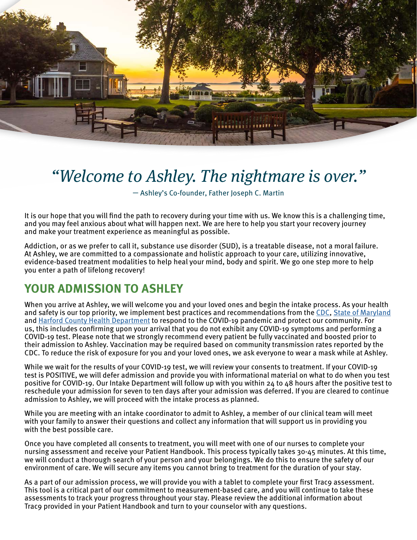

# *"Welcome to Ashley. The nightmare is over."*

— Ashley's Co-founder, Father Joseph C. Martin

It is our hope that you will find the path to recovery during your time with us. We know this is a challenging time, and you may feel anxious about what will happen next. We are here to help you start your recovery journey and make your treatment experience as meaningful as possible.

Addiction, or as we prefer to call it, substance use disorder (SUD), is a treatable disease, not a moral failure. At Ashley, we are committed to a compassionate and holistic approach to your care, utilizing innovative, evidence-based treatment modalities to help heal your mind, body and spirit. We go one step more to help you enter a path of lifelong recovery!

## **YOUR ADMISSION TO ASHLEY**

When you arrive at Ashley, we will welcome you and your loved ones and begin the intake process. As your health and safety is our top priority, we implement best practices and recommendations from the CDC, State of Maryland and Harford County Health Department to respond to the COVID-19 pandemic and protect our community. For us, this includes confirming upon your arrival that you do not exhibit any COVID-19 symptoms and performing a COVID-19 test. Please note that we strongly recommend every patient be fully vaccinated and boosted prior to their admission to Ashley. Vaccination may be required based on community transmission rates reported by the CDC. To reduce the risk of exposure for you and your loved ones, we ask everyone to wear a mask while at Ashley.

While we wait for the results of your COVID-19 test, we will review your consents to treatment. If your COVID-19 test is POSITIVE, we will defer admission and provide you with informational material on what to do when you test positive for COVID-19. Our Intake Department will follow up with you within 24 to 48 hours after the positive test to reschedule your admission for seven to ten days after your admission was deferred. If you are cleared to continue admission to Ashley, we will proceed with the intake process as planned.

While you are meeting with an intake coordinator to admit to Ashley, a member of our clinical team will meet with your family to answer their questions and collect any information that will support us in providing you with the best possible care.

Once you have completed all consents to treatment, you will meet with one of our nurses to complete your nursing assessment and receive your Patient Handbook. This process typically takes 30-45 minutes. At this time, we will conduct a thorough search of your person and your belongings. We do this to ensure the safety of our environment of care. We will secure any items you cannot bring to treatment for the duration of your stay.

As a part of our admission process, we will provide you with a tablet to complete your first Trac9 assessment. This tool is a critical part of our commitment to measurement-based care, and you will continue to take these assessments to track your progress throughout your stay. Please review the additional information about Trac9 provided in your Patient Handbook and turn to your counselor with any questions.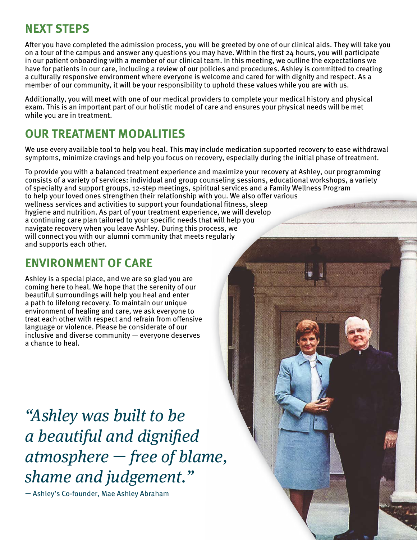## **NEXT STEPS**

After you have completed the admission process, you will be greeted by one of our clinical aids. They will take you on a tour of the campus and answer any questions you may have. Within the first 24 hours, you will participate in our patient onboarding with a member of our clinical team. In this meeting, we outline the expectations we have for patients in our care, including a review of our policies and procedures. Ashley is committed to creating a culturally responsive environment where everyone is welcome and cared for with dignity and respect. As a member of our community, it will be your responsibility to uphold these values while you are with us.

Additionally, you will meet with one of our medical providers to complete your medical history and physical exam. This is an important part of our holistic model of care and ensures your physical needs will be met while you are in treatment.

## **OUR TREATMENT MODALITIES**

We use every available tool to help you heal. This may include medication supported recovery to ease withdrawal symptoms, minimize cravings and help you focus on recovery, especially during the initial phase of treatment.

To provide you with a balanced treatment experience and maximize your recovery at Ashley, our programming consists of a variety of services: individual and group counseling sessions, educational workshops, a variety of specialty and support groups, 12-step meetings, spiritual services and a Family Wellness Program to help your loved ones strengthen their relationship with you. We also offer various wellness services and activities to support your foundational fitness, sleep hygiene and nutrition. As part of your treatment experience, we will develop a continuing care plan tailored to your specific needs that will help you navigate recovery when you leave Ashley. During this process, we will connect you with our alumni community that meets regularly and supports each other.

## **ENVIRONMENT OF CARE**

Ashley is a special place, and we are so glad you are coming here to heal. We hope that the serenity of our beautiful surroundings will help you heal and enter a path to lifelong recovery. To maintain our unique environment of healing and care, we ask everyone to treat each other with respect and refrain from offensive language or violence. Please be considerate of our inclusive and diverse community — everyone deserves a chance to heal.

*"Ashley was built to be a beautiful and dignified atmosphere* — *free of blame, shame and judgement."* 

— Ashley's Co-founder, Mae Ashley Abraham

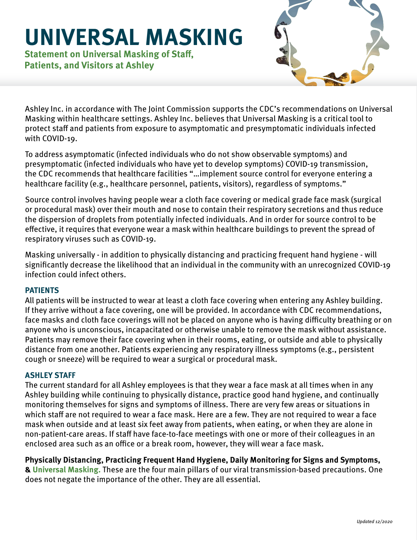# **UNIVERSAL MASKING**

**Statement on Universal Masking of Staff, Patients, and Visitors at Ashley**



Ashley Inc. in accordance with The Joint Commission supports the CDC's recommendations on Universal Masking within healthcare settings. Ashley Inc. believes that Universal Masking is a critical tool to protect staff and patients from exposure to asymptomatic and presymptomatic individuals infected with COVID-19.

To address asymptomatic (infected individuals who do not show observable symptoms) and presymptomatic (infected individuals who have yet to develop symptoms) COVID-19 transmission, the CDC recommends that healthcare facilities "…implement source control for everyone entering a healthcare facility (e.g., healthcare personnel, patients, visitors), regardless of symptoms."

Source control involves having people wear a cloth face covering or medical grade face mask (surgical or procedural mask) over their mouth and nose to contain their respiratory secretions and thus reduce the dispersion of droplets from potentially infected individuals. And in order for source control to be effective, it requires that everyone wear a mask within healthcare buildings to prevent the spread of respiratory viruses such as COVID-19.

Masking universally - in addition to physically distancing and practicing frequent hand hygiene - will significantly decrease the likelihood that an individual in the community with an unrecognized COVID-19 infection could infect others.

#### **PATIENTS**

All patients will be instructed to wear at least a cloth face covering when entering any Ashley building. If they arrive without a face covering, one will be provided. In accordance with CDC recommendations, face masks and cloth face coverings will not be placed on anyone who is having difficulty breathing or on anyone who is unconscious, incapacitated or otherwise unable to remove the mask without assistance. Patients may remove their face covering when in their rooms, eating, or outside and able to physically distance from one another. Patients experiencing any respiratory illness symptoms (e.g., persistent cough or sneeze) will be required to wear a surgical or procedural mask.

#### **ASHLEY STAFF**

The current standard for all Ashley employees is that they wear a face mask at all times when in any Ashley building while continuing to physically distance, practice good hand hygiene, and continually monitoring themselves for signs and symptoms of illness. There are very few areas or situations in which staff are not required to wear a face mask. Here are a few. They are not required to wear a face mask when outside and at least six feet away from patients, when eating, or when they are alone in non-patient-care areas. If staff have face-to-face meetings with one or more of their colleagues in an enclosed area such as an office or a break room, however, they will wear a face mask.

**Physically Distancing, Practicing Frequent Hand Hygiene, Daily Monitoring for Signs and Symptoms, & Universal Masking.** These are the four main pillars of our viral transmission-based precautions. One does not negate the importance of the other. They are all essential.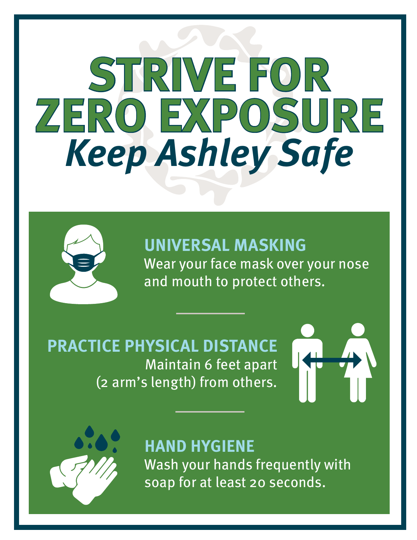# **STRIVE FOR ZERO EXPOSURE** *Keep Ashley Safe*



**UNIVERSAL MASKING** Wear your face mask over your nose and mouth to protect others.

**PRACTICE PHYSICAL DISTANCE** Maintain 6 feet apart (2 arm's length) from others.





# **HAND HYGIENE**

Wash your hands frequently with soap for at least 20 seconds.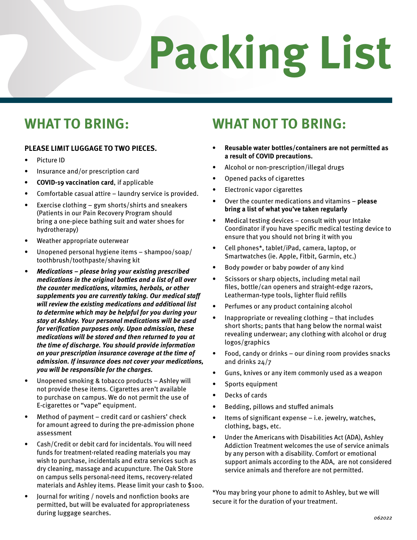# **Packing List**

# **WHAT TO BRING:**

#### **PLEASE LIMIT LUGGAGE TO TWO PIECES.**

- Picture ID
- Insurance and/or prescription card
- **• COVID-19 vaccination card**, if applicable
- Comfortable casual attire laundry service is provided.
- Exercise clothing gym shorts/shirts and sneakers (Patients in our Pain Recovery Program should bring a one-piece bathing suit and water shoes for hydrotherapy)
- Weather appropriate outerwear
- Unopened personal hygiene items shampoo/soap/ toothbrush/toothpaste/shaving kit
- *• Medications please bring your existing prescribed medications in the original bottles and a list of all over the counter medications, vitamins, herbals, or other supplements you are currently taking. Our medical staff will review the existing medications and additional list to determine which may be helpful for you during your stay at Ashley. Your personal medications will be used for verification purposes only. Upon admission, these medications will be stored and then returned to you at the time of discharge. You should provide information on your prescription insurance coverage at the time of admission. If insurance does not cover your medications, you will be responsible for the charges.*
- Unopened smoking & tobacco products Ashley will not provide these items. Cigarettes aren't available to purchase on campus. We do not permit the use of E-cigarettes or "vape" equipment.
- Method of payment credit card or cashiers' check for amount agreed to during the pre-admission phone assessment
- Cash/Credit or debit card for incidentals. You will need funds for treatment-related reading materials you may wish to purchase, incidentals and extra services such as dry cleaning, massage and acupuncture. The Oak Store on campus sells personal-need items, recovery-related materials and Ashley items. Please limit your cash to \$100.
- Journal for writing / novels and nonfiction books are permitted, but will be evaluated for appropriateness during luggage searches.

# **WHAT NOT TO BRING:**

- **• Reusable water bottles/containers are not permitted as a result of COVID precautions.**
- Alcohol or non-prescription/illegal drugs
- Opened packs of cigarettes
- Electronic vapor cigarettes
- Over the counter medications and vitamins **please bring a list of what you've taken regularly**
- Medical testing devices  $-$  consult with your Intake Coordinator if you have specific medical testing device to ensure that you should not bring it with you
- Cell phones\*, tablet/iPad, camera, laptop, or Smartwatches (ie. Apple, Fitbit, Garmin, etc.)
- Body powder or baby powder of any kind
- Scissors or sharp objects, including metal nail files, bottle/can openers and straight-edge razors, Leatherman-type tools, lighter fluid refills
- Perfumes or any product containing alcohol
- Inappropriate or revealing clothing that includes short shorts; pants that hang below the normal waist revealing underwear; any clothing with alcohol or drug logos/graphics
- Food, candy or drinks our dining room provides snacks and drinks 24/7
- Guns, knives or any item commonly used as a weapon
- Sports equipment
- Decks of cards
- Bedding, pillows and stuffed animals
- Items of significant expense i.e. jewelry, watches, clothing, bags, etc.
- Under the Americans with Disabilities Act (ADA), Ashley Addiction Treatment welcomes the use of service animals by any person with a disability. Comfort or emotional support animals according to the ADA, are not considered service animals and therefore are not permitted.

\*You may bring your phone to admit to Ashley, but we will secure it for the duration of your treatment.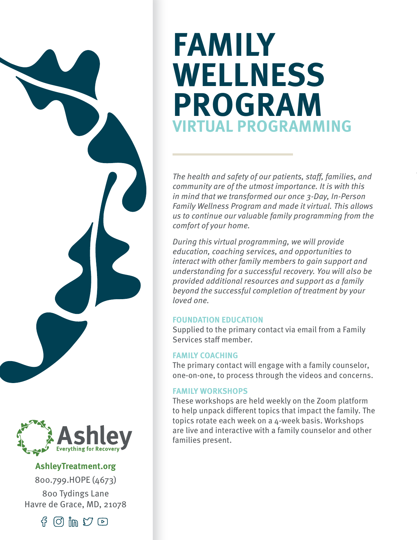# **FAMILY WELLNESS PROGRAM VIRTUAL PROGRAMMING**

*The health and safety of our patients, staff, families, and community are of the utmost importance. It is with this in mind that we transformed our once 3-Day, In-Person Family Wellness Program and made it virtual. This allows us to continue our valuable family programming from the comfort of your home.*

*During this virtual programming, we will provide education, coaching services, and opportunities to interact with other family members to gain support and understanding for a successful recovery. You will also be provided additional resources and support as a family beyond the successful completion of treatment by your loved one.* 

#### **FOUNDATION EDUCATION**

Supplied to the primary contact via email from a Family Services staff member.

#### **FAMILY COACHING**

The primary contact will engage with a family counselor, one-on-one, to process through the videos and concerns.

#### **FAMILY WORKSHOPS**

These workshops are held weekly on the Zoom platform to help unpack different topics that impact the family. The topics rotate each week on a 4-week basis. Workshops are live and interactive with a family counselor and other families present.



#### **AshleyTreatment.org**

800.799.HOPE (4673) 800 Tydings Lane Havre de Grace, MD, 21078

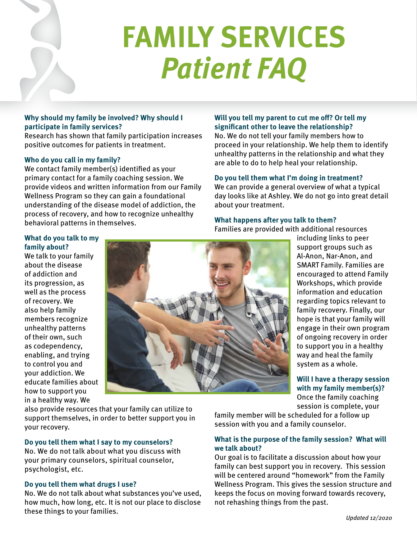

#### **Why should my family be involved? Why should I participate in family services?**

Research has shown that family participation increases positive outcomes for patients in treatment.

#### **Who do you call in my family?**

We contact family member(s) identified as your primary contact for a family coaching session. We provide videos and written information from our Family Wellness Program so they can gain a foundational understanding of the disease model of addiction, the process of recovery, and how to recognize unhealthy behavioral patterns in themselves.

#### **Will you tell my parent to cut me off? Or tell my significant other to leave the relationship?**

No. We do not tell your family members how to proceed in your relationship. We help them to identify unhealthy patterns in the relationship and what they are able to do to help heal your relationship.

#### **Do you tell them what I'm doing in treatment?**

We can provide a general overview of what a typical day looks like at Ashley. We do not go into great detail about your treatment.

#### **What happens after you talk to them?**

Families are provided with additional resources

#### **What do you talk to my family about?**

We talk to your family about the disease of addiction and its progression, as well as the process of recovery. We also help family members recognize unhealthy patterns of their own, such as codependency, enabling, and trying to control you and your addiction. We educate families about how to support you in a healthy way. We



including links to peer support groups such as Al-Anon, Nar-Anon, and SMART Family. Families are encouraged to attend Family Workshops, which provide information and education regarding topics relevant to family recovery. Finally, our hope is that your family will engage in their own program of ongoing recovery in order to support you in a healthy way and heal the family system as a whole.

#### **Will I have a therapy session with my family member(s)?** Once the family coaching

session is complete, your

also provide resources that your family can utilize to support themselves, in order to better support you in your recovery.

#### **Do you tell them what I say to my counselors?**

No. We do not talk about what you discuss with your primary counselors, spiritual counselor, psychologist, etc.

#### **Do you tell them what drugs I use?**

No. We do not talk about what substances you've used, how much, how long, etc. It is not our place to disclose these things to your families.

family member will be scheduled for a follow up session with you and a family counselor.

#### **What is the purpose of the family session? What will we talk about?**

Our goal is to facilitate a discussion about how your family can best support you in recovery. This session will be centered around "homework" from the Family Wellness Program. This gives the session structure and keeps the focus on moving forward towards recovery, not rehashing things from the past.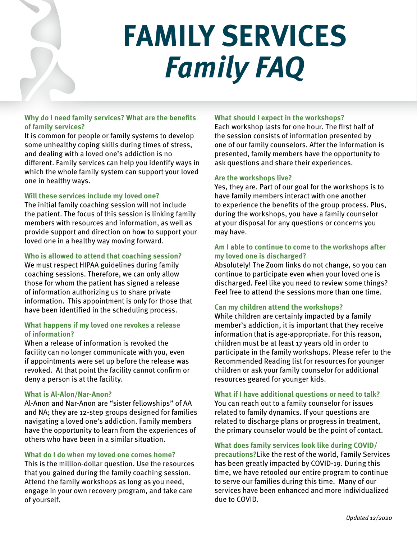# **FAMILY SERVICES** *Family FAQ*

#### **Why do I need family services? What are the benefits of family services?**

It is common for people or family systems to develop some unhealthy coping skills during times of stress, and dealing with a loved one's addiction is no different. Family services can help you identify ways in which the whole family system can support your loved one in healthy ways.

#### **Will these services include my loved one?**

The initial family coaching session will not include the patient. The focus of this session is linking family members with resources and information, as well as provide support and direction on how to support your loved one in a healthy way moving forward.

#### **Who is allowed to attend that coaching session?**

We must respect HIPAA guidelines during family coaching sessions. Therefore, we can only allow those for whom the patient has signed a release of information authorizing us to share private information. This appointment is only for those that have been identified in the scheduling process.

#### **What happens if my loved one revokes a release of information?**

When a release of information is revoked the facility can no longer communicate with you, even if appointments were set up before the release was revoked. At that point the facility cannot confirm or deny a person is at the facility.

#### **What is Al-Alon/Nar-Anon?**

Al-Anon and Nar-Anon are "sister fellowships" of AA and NA; they are 12-step groups designed for families navigating a loved one's addiction. Family members have the opportunity to learn from the experiences of others who have been in a similar situation.

#### **What do I do when my loved one comes home?**

This is the million-dollar question. Use the resources that you gained during the family coaching session. Attend the family workshops as long as you need, engage in your own recovery program, and take care of yourself.

#### **What should I expect in the workshops?**

Each workshop lasts for one hour. The first half of the session consists of information presented by one of our family counselors. After the information is presented, family members have the opportunity to ask questions and share their experiences.

#### **Are the workshops live?**

Yes, they are. Part of our goal for the workshops is to have family members interact with one another to experience the benefits of the group process. Plus, during the workshops, you have a family counselor at your disposal for any questions or concerns you may have.

#### **Am I able to continue to come to the workshops after my loved one is discharged?**

Absolutely! The Zoom links do not change, so you can continue to participate even when your loved one is discharged. Feel like you need to review some things? Feel free to attend the sessions more than one time.

#### **Can my children attend the workshops?**

While children are certainly impacted by a family member's addiction, it is important that they receive information that is age-appropriate. For this reason, children must be at least 17 years old in order to participate in the family workshops. Please refer to the Recommended Reading list for resources for younger children or ask your family counselor for additional resources geared for younger kids.

#### **What if I have additional questions or need to talk?**

You can reach out to a family counselor for issues related to family dynamics. If your questions are related to discharge plans or progress in treatment, the primary counselor would be the point of contact.

**What does family services look like during COVID/ precautions?**Like the rest of the world, Family Services has been greatly impacted by COVID-19. During this time, we have retooled our entire program to continue to serve our families during this time. Many of our services have been enhanced and more individualized due to COVID.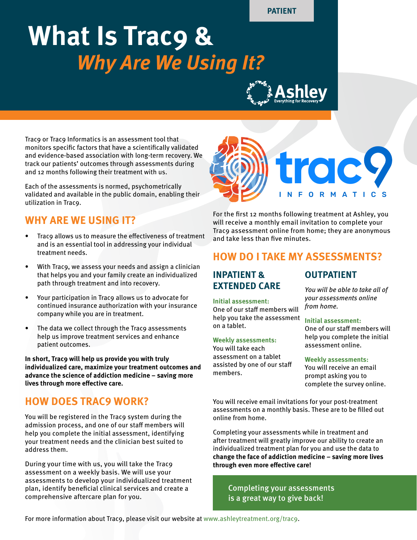**PATIENT**

# **What Is Trac9 &**  *Why Are We Using It?*

Trac9 or Trac9 Informatics is an assessment tool that monitors specific factors that have a scientifically validated and evidence-based association with long-term recovery. We track our patients' outcomes through assessments during and 12 months following their treatment with us.

Each of the assessments is normed, psychometrically validated and available in the public domain, enabling their utilization in Trac9.

### **WHY ARE WE USING IT?**

- Trac9 allows us to measure the effectiveness of treatment and is an essential tool in addressing your individual treatment needs.
- With Trac9, we assess your needs and assign a clinician that helps you and your family create an individualized path through treatment and into recovery.
- Your participation in Trac9 allows us to advocate for continued insurance authorization with your insurance company while you are in treatment.
- The data we collect through the Trac9 assessments help us improve treatment services and enhance patient outcomes.

**In short, Trac9 will help us provide you with truly individualized care, maximize your treatment outcomes and advance the science of addiction medicine – saving more lives through more effective care.**

### **HOW DOES TRAC9 WORK?**

You will be registered in the Trac9 system during the admission process, and one of our staff members will help you complete the initial assessment, identifying your treatment needs and the clinician best suited to address them.

During your time with us, you will take the Trac9 assessment on a weekly basis. We will use your assessments to develop your individualized treatment plan, identify beneficial clinical services and create a comprehensive aftercare plan for you.



For the first 12 months following treatment at Ashley, you will receive a monthly email invitation to complete your Trac9 assessment online from home; they are anonymous and take less than five minutes.

#### **HOW DO I TAKE MY ASSESSMENTS?**

#### **INPATIENT & EXTENDED CARE**

#### **Initial assessment:**

One of our staff members will help you take the assessment on a tablet.

#### **Weekly assessments:**

You will take each assessment on a tablet assisted by one of our staff members.

#### **OUTPATIENT**

*You will be able to take all of your assessments online from home.*

#### **Initial assessment:**

One of our staff members will help you complete the initial assessment online.

#### **Weekly assessments:**

You will receive an email prompt asking you to complete the survey online.

You will receive email invitations for your post-treatment assessments on a monthly basis. These are to be filled out online from home.

Completing your assessments while in treatment and after treatment will greatly improve our ability to create an individualized treatment plan for you and use the data to **change the face of addiction medicine – saving more lives through even more effective care!**

Completing your assessments is a great way to give back!

For more information about Trac9, please visit our website at www.ashleytreatment.org/trac9.